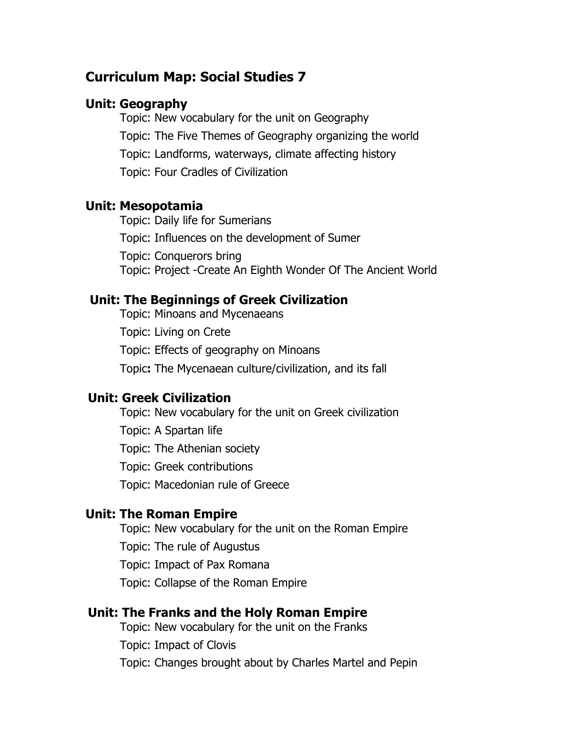# **Curriculum Map: Social Studies 7**

### **Unit: Geography**

Topic: New vocabulary for the unit on Geography Topic: The Five Themes of Geography organizing the world Topic: Landforms, waterways, climate affecting history Topic: Four Cradles of Civilization

#### **Unit: Mesopotamia**

Topic: Daily life for Sumerians Topic: Influences on the development of Sumer Topic: Conquerors bring Topic: Project -Create An Eighth Wonder Of The Ancient World

## **Unit: The Beginnings of Greek Civilization**

Topic: Minoans and Mycenaeans Topic: Living on Crete Topic: Effects of geography on Minoans Topic**:** The Mycenaean culture/civilization, and its fall

#### **Unit: Greek Civilization**

Topic: New vocabulary for the unit on Greek civilization Topic: A Spartan life Topic: The Athenian society Topic: Greek contributions Topic: Macedonian rule of Greece

#### **Unit: The Roman Empire**

Topic: New vocabulary for the unit on the Roman Empire Topic: The rule of Augustus Topic: Impact of Pax Romana Topic: Collapse of the Roman Empire

### **Unit: The Franks and the Holy Roman Empire**

Topic: New vocabulary for the unit on the Franks Topic: Impact of Clovis Topic: Changes brought about by Charles Martel and Pepin